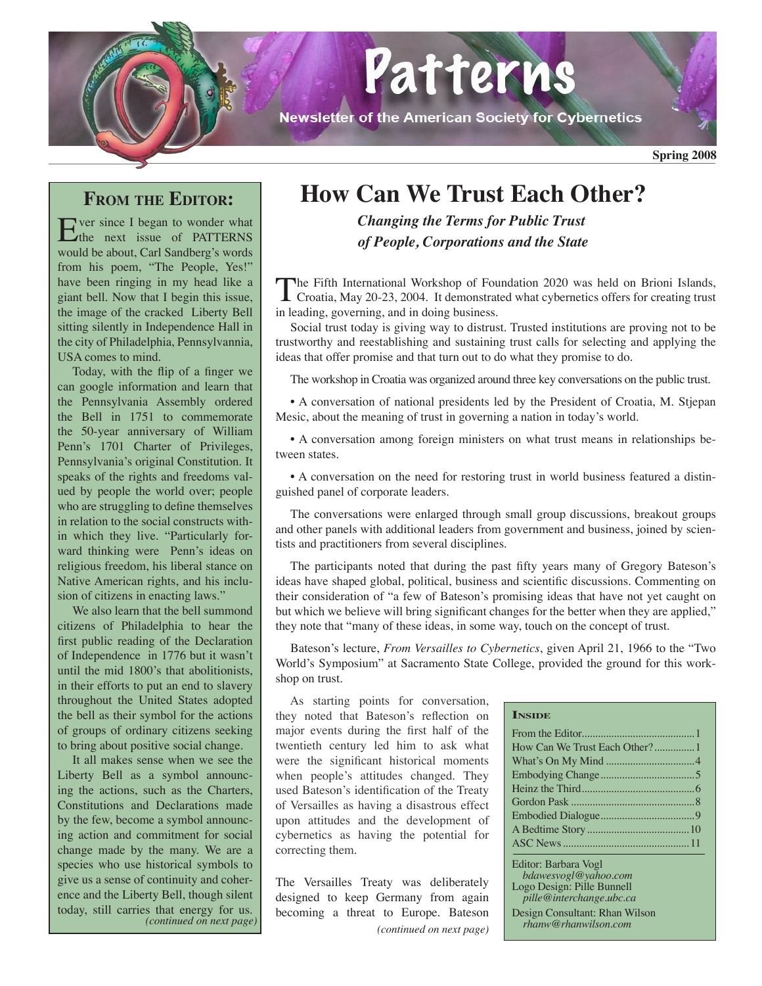

## **From the Editor:**

Ever since I began to wonder what<br>the next issue of PATTERNS would be about, Carl Sandberg's words from his poem, "The People, Yes!" have been ringing in my head like a giant bell. Now that I begin this issue, the image of the cracked Liberty Bell sitting silently in Independence Hall in the city of Philadelphia, Pennsylvannia, USA comes to mind.

Today, with the flip of a finger we can google information and learn that the Pennsylvania Assembly ordered the Bell in 1751 to commemorate the 50-year anniversary of William Penn's 1701 Charter of Privileges, Pennsylvania's original Constitution. It speaks of the rights and freedoms valued by people the world over; people who are struggling to define themselves in relation to the social constructs within which they live. "Particularly forward thinking were Penn's ideas on religious freedom, his liberal stance on Native American rights, and his inclusion of citizens in enacting laws."

We also learn that the bell summond citizens of Philadelphia to hear the first public reading of the Declaration of Independence in 1776 but it wasn't until the mid 1800's that abolitionists, in their efforts to put an end to slavery throughout the United States adopted the bell as their symbol for the actions of groups of ordinary citizens seeking to bring about positive social change.

It all makes sense when we see the Liberty Bell as a symbol announcing the actions, such as the Charters, Constitutions and Declarations made by the few, become a symbol announcing action and commitment for social change made by the many. We are a species who use historical symbols to give us a sense of continuity and coherence and the Liberty Bell, though silent today, still carries that energy for us.<br>(*continued on next page*)

## **How Can We Trust Each Other?**

 *Changing the Terms for Public Trust of People, Corporations and the State*

The Fifth International Workshop of Foundation 2020 was held on Brioni Islands, Croatia, May 20-23, 2004. It demonstrated what cybernetics offers for creating trust in leading, governing, and in doing business.

Social trust today is giving way to distrust. Trusted institutions are proving not to be trustworthy and reestablishing and sustaining trust calls for selecting and applying the ideas that offer promise and that turn out to do what they promise to do.

The workshop in Croatia was organized around three key conversations on the public trust.

• A conversation of national presidents led by the President of Croatia, M. Stjepan Mesic, about the meaning of trust in governing a nation in today's world.

• A conversation among foreign ministers on what trust means in relationships between states.

• A conversation on the need for restoring trust in world business featured a distinguished panel of corporate leaders.

The conversations were enlarged through small group discussions, breakout groups and other panels with additional leaders from government and business, joined by scientists and practitioners from several disciplines.

The participants noted that during the past fifty years many of Gregory Bateson's ideas have shaped global, political, business and scientific discussions. Commenting on their consideration of "a few of Bateson's promising ideas that have not yet caught on but which we believe will bring significant changes for the better when they are applied," they note that "many of these ideas, in some way, touch on the concept of trust.

Bateson's lecture, *From Versailles to Cybernetics*, given April 21, 1966 to the "Two World's Symposium" at Sacramento State College, provided the ground for this workshop on trust.

As starting points for conversation, they noted that Bateson's reflection on major events during the first half of the twentieth century led him to ask what were the significant historical moments when people's attitudes changed. They used Bateson's identification of the Treaty of Versailles as having a disastrous effect upon attitudes and the development of cybernetics as having the potential for correcting them.

*(continued on next page)* The Versailles Treaty was deliberately designed to keep Germany from again becoming a threat to Europe. Bateson

| <b>NSIDE</b> |
|--------------|
|--------------|

| Editor: Barbara Vogl           |  |
|--------------------------------|--|
| bdawesvogl@yahoo.com           |  |
| Logo Design: Pille Bunnell     |  |
| pille@interchange.ubc.ca       |  |
| Design Consultant: Rhan Wilson |  |
| rhanw@rhanwilson.com           |  |
|                                |  |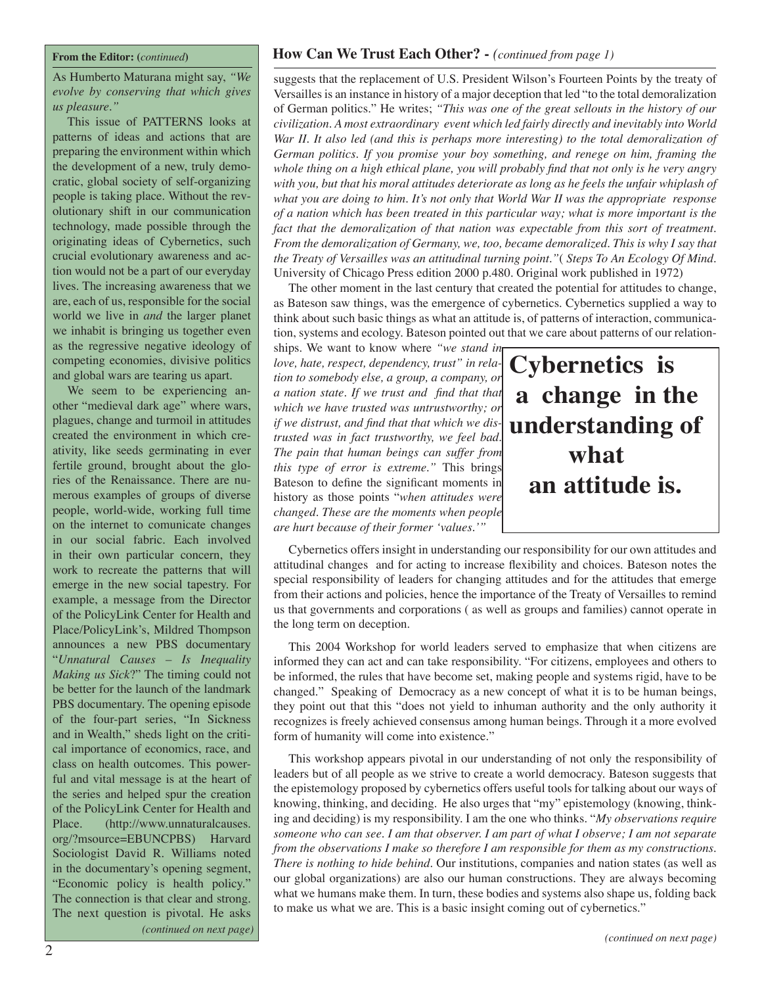As Humberto Maturana might say, *"We evolve by conserving that which gives us pleasure."*

This issue of PATTERNS looks at patterns of ideas and actions that are preparing the environment within which the development of a new, truly democratic, global society of self-organizing people is taking place. Without the revolutionary shift in our communication technology, made possible through the originating ideas of Cybernetics, such crucial evolutionary awareness and action would not be a part of our everyday lives. The increasing awareness that we are, each of us, responsible for the social world we live in *and* the larger planet we inhabit is bringing us together even as the regressive negative ideology of competing economies, divisive politics and global wars are tearing us apart.

We seem to be experiencing another "medieval dark age" where wars, plagues, change and turmoil in attitudes created the environment in which creativity, like seeds germinating in ever fertile ground, brought about the glories of the Renaissance. There are numerous examples of groups of diverse people, world-wide, working full time on the internet to comunicate changes in our social fabric. Each involved in their own particular concern, they work to recreate the patterns that will emerge in the new social tapestry. For example, a message from the Director of the PolicyLink Center for Health and Place/PolicyLink's, Mildred Thompson announces a new PBS documentary "*Unnatural Causes – Is Inequality Making us Sick*?" The timing could not be better for the launch of the landmark PBS documentary. The opening episode of the four-part series, "In Sickness and in Wealth," sheds light on the critical importance of economics, race, and class on health outcomes. This powerful and vital message is at the heart of the series and helped spur the creation of the PolicyLink Center for Health and Place. (http://www.unnaturalcauses. org/?msource=EBUNCPBS) Harvard Sociologist David R. Williams noted in the documentary's opening segment, "Economic policy is health policy." The connection is that clear and strong. The next question is pivotal. He asks *(continued on next page)*

## **How Can We Trust Each Other? -** *(continued from page 1)*

suggests that the replacement of U.S. President Wilson's Fourteen Points by the treaty of Versailles is an instance in history of a major deception that led "to the total demoralization of German politics." He writes; *"This was one of the great sellouts in the history of our civilization. A most extraordinary event which led fairly directly and inevitably into World War II. It also led (and this is perhaps more interesting) to the total demoralization of German politics. If you promise your boy something, and renege on him, framing the whole thing on a high ethical plane, you will probably find that not only is he very angry with you, but that his moral attitudes deteriorate as long as he feels the unfair whiplash of what you are doing to him. It's not only that World War II was the appropriate response of a nation which has been treated in this particular way; what is more important is the fact that the demoralization of that nation was expectable from this sort of treatment. From the demoralization of Germany, we, too, became demoralized. This is why I say that the Treaty of Versailles was an attitudinal turning point."*( *Steps To An Ecology Of Mind*. University of Chicago Press edition 2000 p.480. Original work published in 1972)

The other moment in the last century that created the potential for attitudes to change, as Bateson saw things, was the emergence of cybernetics. Cybernetics supplied a way to think about such basic things as what an attitude is, of patterns of interaction, communication, systems and ecology. Bateson pointed out that we care about patterns of our relation-

ships. We want to know where *"we stand in love, hate, respect, dependency, trust" in relation to somebody else, a group, a company, or a nation state. If we trust and find that that which we have trusted was untrustworthy; or if we distrust, and find that that which we distrusted was in fact trustworthy, we feel bad. The pain that human beings can suffer from this type of error is extreme."* This brings Bateson to define the significant moments in history as those points "*when attitudes were changed. These are the moments when people are hurt because of their former 'values.'"* 

**Cybernetics is a change in the understanding of what an attitude is.**

Cybernetics offers insight in understanding our responsibility for our own attitudes and attitudinal changes and for acting to increase flexibility and choices. Bateson notes the special responsibility of leaders for changing attitudes and for the attitudes that emerge from their actions and policies, hence the importance of the Treaty of Versailles to remind us that governments and corporations ( as well as groups and families) cannot operate in the long term on deception.

This 2004 Workshop for world leaders served to emphasize that when citizens are informed they can act and can take responsibility. "For citizens, employees and others to be informed, the rules that have become set, making people and systems rigid, have to be changed." Speaking of Democracy as a new concept of what it is to be human beings, they point out that this "does not yield to inhuman authority and the only authority it recognizes is freely achieved consensus among human beings. Through it a more evolved form of humanity will come into existence."

This workshop appears pivotal in our understanding of not only the responsibility of leaders but of all people as we strive to create a world democracy. Bateson suggests that the epistemology proposed by cybernetics offers useful tools for talking about our ways of knowing, thinking, and deciding. He also urges that "my" epistemology (knowing, thinking and deciding) is my responsibility. I am the one who thinks. "*My observations require someone who can see. I am that observer. I am part of what I observe; I am not separate from the observations I make so therefore I am responsible for them as my constructions. There is nothing to hide behind.* Our institutions, companies and nation states (as well as our global organizations) are also our human constructions. They are always becoming what we humans make them. In turn, these bodies and systems also shape us, folding back to make us what we are. This is a basic insight coming out of cybernetics."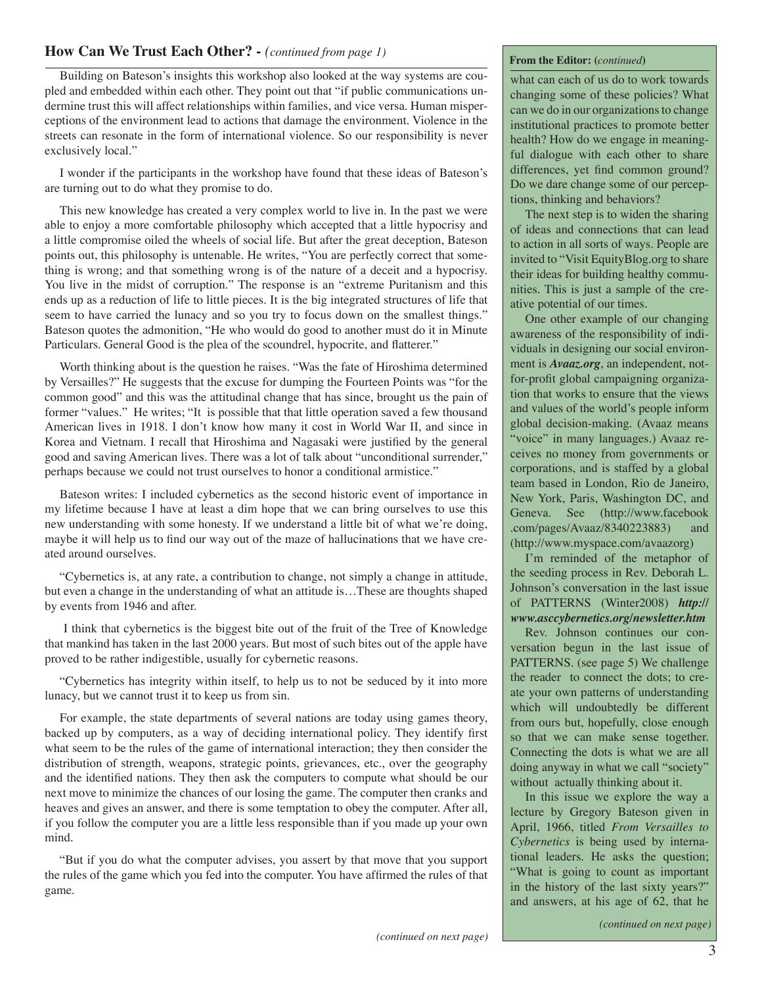## **How Can We Trust Each Other? -** *(continued from page 1)*

Building on Bateson's insights this workshop also looked at the way systems are coupled and embedded within each other. They point out that "if public communications undermine trust this will affect relationships within families, and vice versa. Human misperceptions of the environment lead to actions that damage the environment. Violence in the streets can resonate in the form of international violence. So our responsibility is never exclusively local."

I wonder if the participants in the workshop have found that these ideas of Bateson's are turning out to do what they promise to do.

This new knowledge has created a very complex world to live in. In the past we were able to enjoy a more comfortable philosophy which accepted that a little hypocrisy and a little compromise oiled the wheels of social life. But after the great deception, Bateson points out, this philosophy is untenable. He writes, "You are perfectly correct that something is wrong; and that something wrong is of the nature of a deceit and a hypocrisy. You live in the midst of corruption." The response is an "extreme Puritanism and this ends up as a reduction of life to little pieces. It is the big integrated structures of life that seem to have carried the lunacy and so you try to focus down on the smallest things." Bateson quotes the admonition, "He who would do good to another must do it in Minute Particulars. General Good is the plea of the scoundrel, hypocrite, and flatterer."

Worth thinking about is the question he raises. "Was the fate of Hiroshima determined by Versailles?" He suggests that the excuse for dumping the Fourteen Points was "for the common good" and this was the attitudinal change that has since, brought us the pain of former "values." He writes; "It is possible that that little operation saved a few thousand American lives in 1918. I don't know how many it cost in World War II, and since in Korea and Vietnam. I recall that Hiroshima and Nagasaki were justified by the general good and saving American lives. There was a lot of talk about "unconditional surrender," perhaps because we could not trust ourselves to honor a conditional armistice."

Bateson writes: I included cybernetics as the second historic event of importance in my lifetime because I have at least a dim hope that we can bring ourselves to use this new understanding with some honesty. If we understand a little bit of what we're doing, maybe it will help us to find our way out of the maze of hallucinations that we have created around ourselves.

"Cybernetics is, at any rate, a contribution to change, not simply a change in attitude, but even a change in the understanding of what an attitude is…These are thoughts shaped by events from 1946 and after.

 I think that cybernetics is the biggest bite out of the fruit of the Tree of Knowledge that mankind has taken in the last 2000 years. But most of such bites out of the apple have proved to be rather indigestible, usually for cybernetic reasons.

"Cybernetics has integrity within itself, to help us to not be seduced by it into more lunacy, but we cannot trust it to keep us from sin.

For example, the state departments of several nations are today using games theory, backed up by computers, as a way of deciding international policy. They identify first what seem to be the rules of the game of international interaction; they then consider the distribution of strength, weapons, strategic points, grievances, etc., over the geography and the identified nations. They then ask the computers to compute what should be our next move to minimize the chances of our losing the game. The computer then cranks and heaves and gives an answer, and there is some temptation to obey the computer. After all, if you follow the computer you are a little less responsible than if you made up your own mind.

"But if you do what the computer advises, you assert by that move that you support the rules of the game which you fed into the computer. You have affirmed the rules of that game.

### **From the Editor: (***continued***)**

what can each of us do to work towards changing some of these policies? What can we do in our organizations to change institutional practices to promote better health? How do we engage in meaningful dialogue with each other to share differences, yet find common ground? Do we dare change some of our perceptions, thinking and behaviors?

The next step is to widen the sharing of ideas and connections that can lead to action in all sorts of ways. People are invited to "Visit EquityBlog.org to share their ideas for building healthy communities. This is just a sample of the creative potential of our times.

One other example of our changing awareness of the responsibility of individuals in designing our social environment is *Avaaz.org*, an independent, notfor-profit global campaigning organization that works to ensure that the views and values of the world's people inform global decision-making. (Avaaz means "voice" in many languages.) Avaaz receives no money from governments or corporations, and is staffed by a global team based in London, Rio de Janeiro, New York, Paris, Washington DC, and Geneva. See (http://www.facebook .com/pages/Avaaz/8340223883) and (http://www.myspace.com/avaazorg)

I'm reminded of the metaphor of the seeding process in Rev. Deborah L. Johnson's conversation in the last issue of PATTERNS (Winter2008) *http:// www.asccybernetics.org/newsletter.htm*

Rev. Johnson continues our conversation begun in the last issue of PATTERNS. (see page 5) We challenge the reader to connect the dots; to create your own patterns of understanding which will undoubtedly be different from ours but, hopefully, close enough so that we can make sense together. Connecting the dots is what we are all doing anyway in what we call "society" without actually thinking about it.

In this issue we explore the way a lecture by Gregory Bateson given in April, 1966, titled *From Versailles to Cybernetics* is being used by international leaders*.* He asks the question; "What is going to count as important in the history of the last sixty years?" and answers, at his age of 62, that he

*(continued on next page)*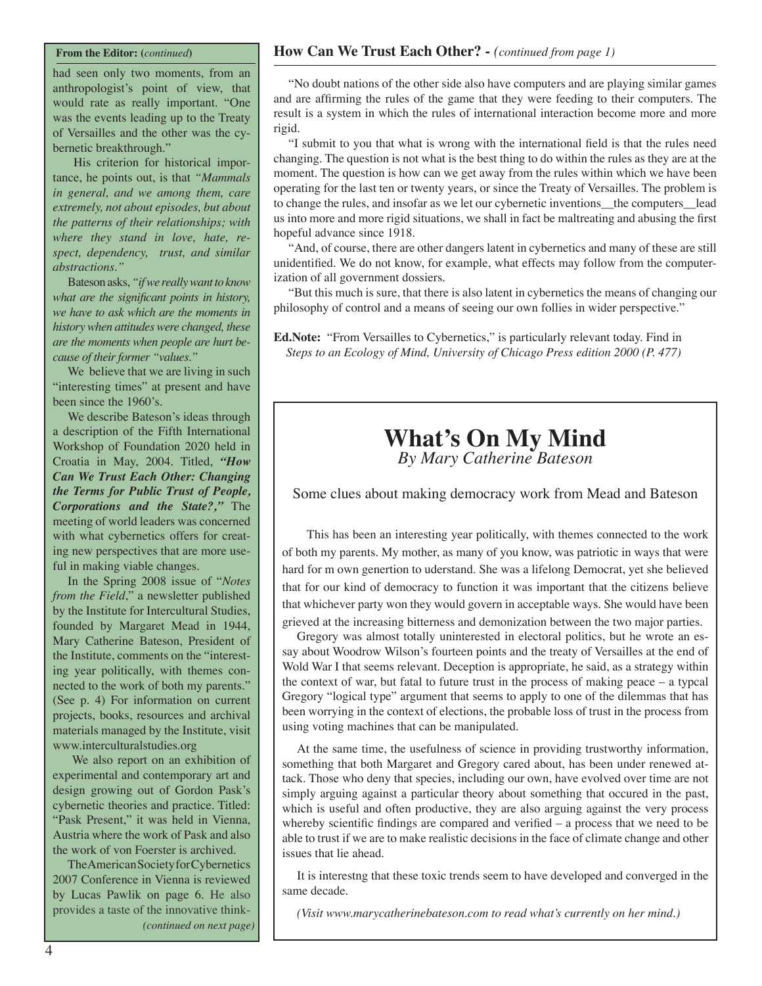### **From the Editor: (***continued***)**

had seen only two moments, from an anthropologist's point of view, that would rate as really important. "One was the events leading up to the Treaty of Versailles and the other was the cybernetic breakthrough."

 His criterion for historical importance, he points out, is that *"Mammals in general, and we among them, care extremely, not about episodes, but about the patterns of their relationships; with where they stand in love, hate, respect, dependency, trust, and similar abstractions."* 

Bateson asks, *"ifwe really want to know what are the significant points in history, we have to ask which are the moments in history when attitudes were changed, these are the moments when people are hurt because of their former "values."*

We believe that we are living in such "interesting times" at present and have been since the 1960's.

We describe Bateson's ideas through a description of the Fifth International Workshop of Foundation 2020 held in Croatia in May, 2004. Titled, *"How Can We Trust Each Other: Changing the Terms for Public Trust of People, Corporations and the State?,"* The meeting of world leaders was concerned with what cybernetics offers for creating new perspectives that are more useful in making viable changes.

In the Spring 2008 issue of "*Notes from the Field*," a newsletter published by the Institute for Intercultural Studies, founded by Margaret Mead in 1944, Mary Catherine Bateson, President of the Institute, comments on the "interesting year politically, with themes connected to the work of both my parents." (See p. 4) For information on current projects, books, resources and archival materials managed by the Institute, visit www.interculturalstudies.org

 We also report on an exhibition of experimental and contemporary art and design growing out of Gordon Pask's cybernetic theories and practice. Titled: "Pask Present," it was held in Vienna, Austria where the work of Pask and also the work of von Foerster is archived.

The American Society for Cybernetics 2007 Conference in Vienna is reviewed by Lucas Pawlik on page 6. He also provides a taste of the innovative think- *(continued on next page)*

## **How Can We Trust Each Other? -** *(continued from page 1)*

"No doubt nations of the other side also have computers and are playing similar games and are affirming the rules of the game that they were feeding to their computers. The result is a system in which the rules of international interaction become more and more rigid.

"I submit to you that what is wrong with the international field is that the rules need changing. The question is not what is the best thing to do within the rules as they are at the moment. The question is how can we get away from the rules within which we have been operating for the last ten or twenty years, or since the Treaty of Versailles. The problem is to change the rules, and insofar as we let our cybernetic inventions\_\_the computers\_\_lead us into more and more rigid situations, we shall in fact be maltreating and abusing the first hopeful advance since 1918.

"And, of course, there are other dangers latent in cybernetics and many of these are still unidentified. We do not know, for example, what effects may follow from the computerization of all government dossiers.

"But this much is sure, that there is also latent in cybernetics the means of changing our philosophy of control and a means of seeing our own follies in wider perspective."

**Ed.Note:** "From Versailles to Cybernetics," is particularly relevant today. Find in *Steps to an Ecology of Mind, University of Chicago Press edition 2000 (P. 477)*

## **What's On My Mind** *By Mary Catherine Bateson*

Some clues about making democracy work from Mead and Bateson

 This has been an interesting year politically, with themes connected to the work of both my parents. My mother, as many of you know, was patriotic in ways that were hard for m own genertion to uderstand. She was a lifelong Democrat, yet she believed that for our kind of democracy to function it was important that the citizens believe that whichever party won they would govern in acceptable ways. She would have been grieved at the increasing bitterness and demonization between the two major parties.

Gregory was almost totally uninterested in electoral politics, but he wrote an essay about Woodrow Wilson's fourteen points and the treaty of Versailles at the end of Wold War I that seems relevant. Deception is appropriate, he said, as a strategy within the context of war, but fatal to future trust in the process of making peace – a typcal Gregory "logical type" argument that seems to apply to one of the dilemmas that has been worrying in the context of elections, the probable loss of trust in the process from using voting machines that can be manipulated.

At the same time, the usefulness of science in providing trustworthy information, something that both Margaret and Gregory cared about, has been under renewed attack. Those who deny that species, including our own, have evolved over time are not simply arguing against a particular theory about something that occured in the past, which is useful and often productive, they are also arguing against the very process whereby scientific findings are compared and verified  $-$  a process that we need to be able to trust if we are to make realistic decisions in the face of climate change and other issues that lie ahead.

It is interestng that these toxic trends seem to have developed and converged in the same decade.

*(Visit www.marycatherinebateson.com to read what's currently on her mind.)*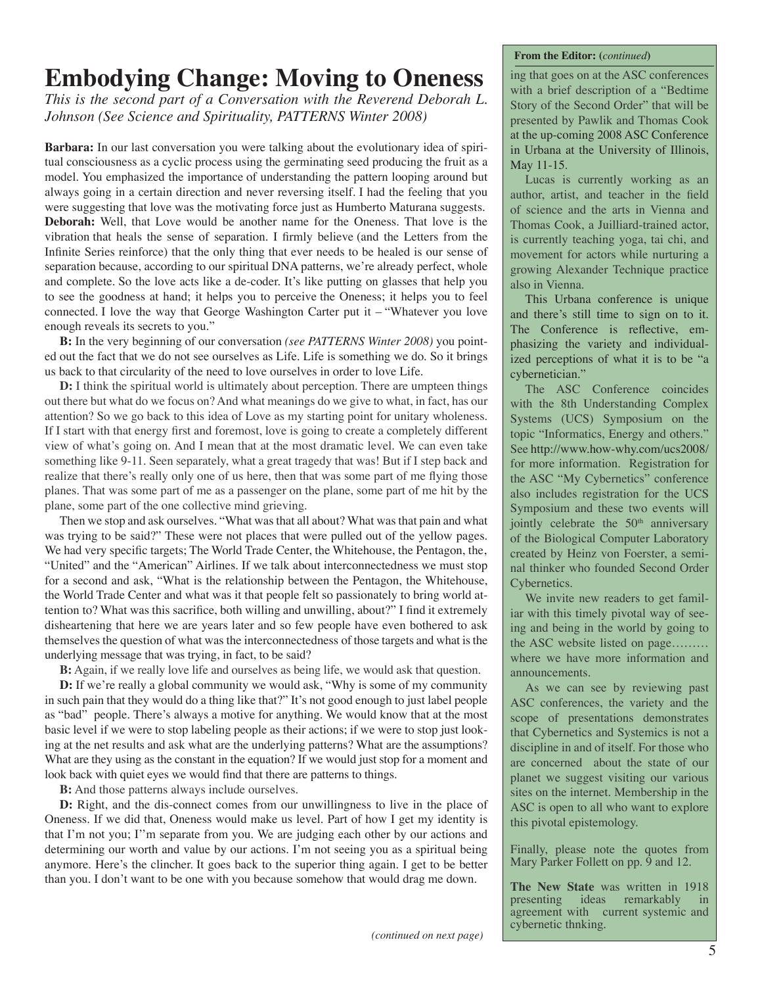## **Embodying Change: Moving to Oneness**

*This is the second part of a Conversation with the Reverend Deborah L. Johnson (See Science and Spirituality, PATTERNS Winter 2008)*

**Barbara:** In our last conversation you were talking about the evolutionary idea of spiritual consciousness as a cyclic process using the germinating seed producing the fruit as a model. You emphasized the importance of understanding the pattern looping around but always going in a certain direction and never reversing itself. I had the feeling that you were suggesting that love was the motivating force just as Humberto Maturana suggests. **Deborah:** Well, that Love would be another name for the Oneness. That love is the vibration that heals the sense of separation. I firmly believe (and the Letters from the Infinite Series reinforce) that the only thing that ever needs to be healed is our sense of separation because, according to our spiritual DNA patterns, we're already perfect, whole and complete. So the love acts like a de-coder. It's like putting on glasses that help you to see the goodness at hand; it helps you to perceive the Oneness; it helps you to feel connected. I love the way that George Washington Carter put it – "Whatever you love enough reveals its secrets to you."

**B:** In the very beginning of our conversation *(see PATTERNS Winter 2008)* you pointed out the fact that we do not see ourselves as Life. Life is something we do. So it brings us back to that circularity of the need to love ourselves in order to love Life.

**D:** I think the spiritual world is ultimately about perception. There are umpteen things out there but what do we focus on? And what meanings do we give to what, in fact, has our attention? So we go back to this idea of Love as my starting point for unitary wholeness. If I start with that energy first and foremost, love is going to create a completely different view of what's going on. And I mean that at the most dramatic level. We can even take something like 9-11. Seen separately, what a great tragedy that was! But if I step back and realize that there's really only one of us here, then that was some part of me flying those planes. That was some part of me as a passenger on the plane, some part of me hit by the plane, some part of the one collective mind grieving.

Then we stop and ask ourselves. "What was that all about? What was that pain and what was trying to be said?" These were not places that were pulled out of the yellow pages. We had very specific targets; The World Trade Center, the Whitehouse, the Pentagon, the, "United" and the "American" Airlines. If we talk about interconnectedness we must stop for a second and ask, "What is the relationship between the Pentagon, the Whitehouse, the World Trade Center and what was it that people felt so passionately to bring world attention to? What was this sacrifice, both willing and unwilling, about?" I find it extremely disheartening that here we are years later and so few people have even bothered to ask themselves the question of what was the interconnectedness of those targets and what is the underlying message that was trying, in fact, to be said?

**B:** Again, if we really love life and ourselves as being life, we would ask that question.

**D:** If we're really a global community we would ask, "Why is some of my community in such pain that they would do a thing like that?" It's not good enough to just label people as "bad" people. There's always a motive for anything. We would know that at the most basic level if we were to stop labeling people as their actions; if we were to stop just looking at the net results and ask what are the underlying patterns? What are the assumptions? What are they using as the constant in the equation? If we would just stop for a moment and look back with quiet eyes we would find that there are patterns to things.

**B:** And those patterns always include ourselves.

**D:** Right, and the dis-connect comes from our unwillingness to live in the place of Oneness. If we did that, Oneness would make us level. Part of how I get my identity is that I'm not you; I''m separate from you. We are judging each other by our actions and determining our worth and value by our actions. I'm not seeing you as a spiritual being anymore. Here's the clincher. It goes back to the superior thing again. I get to be better than you. I don't want to be one with you because somehow that would drag me down.

### **From the Editor: (***continued***)**

ing that goes on at the ASC conferences with a brief description of a "Bedtime Story of the Second Order" that will be presented by Pawlik and Thomas Cook at the up-coming 2008 ASC Conference in Urbana at the University of Illinois, May 11-15.

Lucas is currently working as an author, artist, and teacher in the field of science and the arts in Vienna and Thomas Cook, a Juilliard-trained actor, is currently teaching yoga, tai chi, and movement for actors while nurturing a growing Alexander Technique practice also in Vienna.

This Urbana conference is unique and there's still time to sign on to it. The Conference is reflective, emphasizing the variety and individualized perceptions of what it is to be "a cybernetician."

The ASC Conference coincides with the 8th Understanding Complex Systems (UCS) Symposium on the topic "Informatics, Energy and others." See http://www.how-why.com/ucs2008/ for more information. Registration for the ASC "My Cybernetics" conference also includes registration for the UCS Symposium and these two events will jointly celebrate the  $50<sup>th</sup>$  anniversary of the Biological Computer Laboratory created by Heinz von Foerster, a seminal thinker who founded Second Order Cybernetics.

We invite new readers to get familiar with this timely pivotal way of seeing and being in the world by going to the ASC website listed on page……… where we have more information and announcements.

As we can see by reviewing past ASC conferences, the variety and the scope of presentations demonstrates that Cybernetics and Systemics is not a discipline in and of itself. For those who are concerned about the state of our planet we suggest visiting our various sites on the internet. Membership in the ASC is open to all who want to explore this pivotal epistemology.

Finally, please note the quotes from Mary Parker Follett on pp. 9 and 12.

**The New State** was written in 1918 presenting ideas remarkably in agreement with current systemic and cybernetic thnking.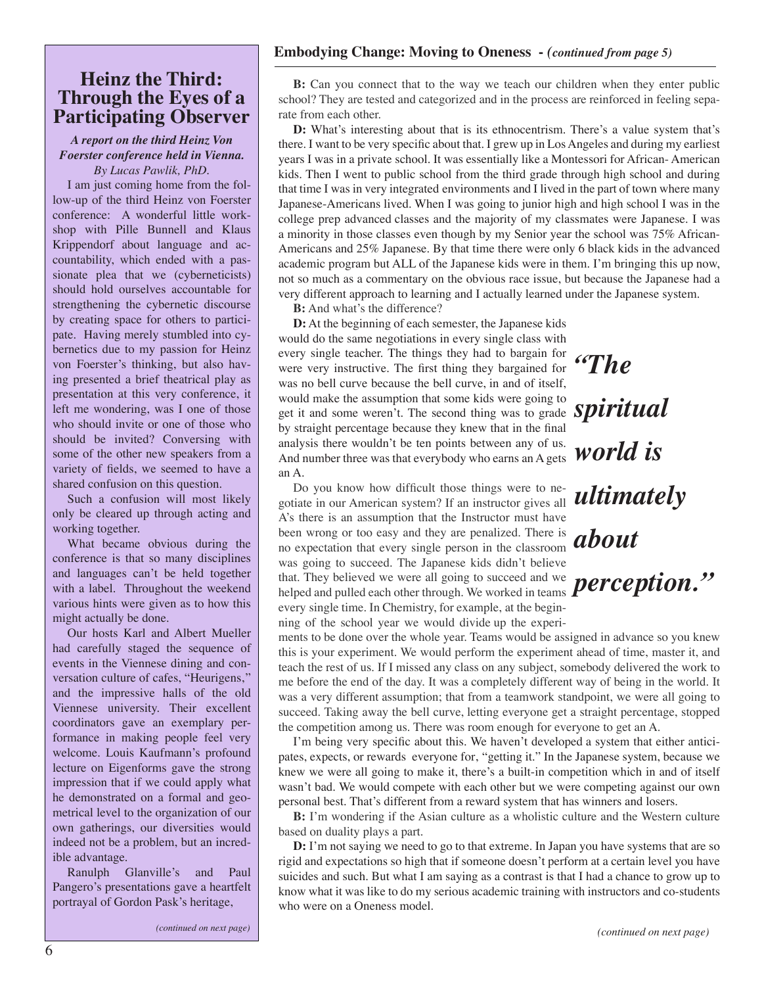## **Heinz the Third: Through the Eyes of a Participating Observer**

## *A report on the third Heinz Von Foerster conference held in Vienna. By Lucas Pawlik, PhD.*

I am just coming home from the follow-up of the third Heinz von Foerster conference: A wonderful little workshop with Pille Bunnell and Klaus Krippendorf about language and accountability, which ended with a passionate plea that we (cyberneticists) should hold ourselves accountable for strengthening the cybernetic discourse by creating space for others to participate. Having merely stumbled into cybernetics due to my passion for Heinz von Foerster's thinking, but also having presented a brief theatrical play as presentation at this very conference, it left me wondering, was I one of those who should invite or one of those who should be invited? Conversing with some of the other new speakers from a variety of fields, we seemed to have a shared confusion on this question.

Such a confusion will most likely only be cleared up through acting and working together.

What became obvious during the conference is that so many disciplines and languages can't be held together with a label. Throughout the weekend various hints were given as to how this might actually be done.

Our hosts Karl and Albert Mueller had carefully staged the sequence of events in the Viennese dining and conversation culture of cafes, "Heurigens," and the impressive halls of the old Viennese university. Their excellent coordinators gave an exemplary performance in making people feel very welcome. Louis Kaufmann's profound lecture on Eigenforms gave the strong impression that if we could apply what he demonstrated on a formal and geometrical level to the organization of our own gatherings, our diversities would indeed not be a problem, but an incredible advantage.

Ranulph Glanville's and Paul Pangero's presentations gave a heartfelt portrayal of Gordon Pask's heritage,

## **Embodying Change: Moving to Oneness -** *(continued from page 5)*

**B:** Can you connect that to the way we teach our children when they enter public school? They are tested and categorized and in the process are reinforced in feeling separate from each other.

**D:** What's interesting about that is its ethnocentrism. There's a value system that's there. I want to be very specific about that. I grew up in Los Angeles and during my earliest years I was in a private school. It was essentially like a Montessori for African- American kids. Then I went to public school from the third grade through high school and during that time I was in very integrated environments and I lived in the part of town where many Japanese-Americans lived. When I was going to junior high and high school I was in the college prep advanced classes and the majority of my classmates were Japanese. I was a minority in those classes even though by my Senior year the school was 75% African-Americans and 25% Japanese. By that time there were only 6 black kids in the advanced academic program but ALL of the Japanese kids were in them. I'm bringing this up now, not so much as a commentary on the obvious race issue, but because the Japanese had a very different approach to learning and I actually learned under the Japanese system.

**B:** And what's the difference?

**D:** At the beginning of each semester, the Japanese kids would do the same negotiations in every single class with every single teacher. The things they had to bargain for were very instructive. The first thing they bargained for was no bell curve because the bell curve, in and of itself, would make the assumption that some kids were going to would make the assumption that some kids were going to grade **Spiritual** by straight percentage because they knew that in the final analysis there wouldn't be ten points between any of us. And number three was that everybody who earns an A gets an A.

Do you know how difficult those things were to negotiate in our American system? If an instructor gives all A's there is an assumption that the Instructor must have been wrong or too easy and they are penalized. There is no expectation that every single person in the classroom was going to succeed. The Japanese kids didn't believe that. They believed we were all going to succeed and we that. They believed we were all going to succeed and we **perception."** every single time. In Chemistry, for example, at the beginning of the school year we would divide up the experi-

*"The world is ultimately about* 

ments to be done over the whole year. Teams would be assigned in advance so you knew this is your experiment. We would perform the experiment ahead of time, master it, and teach the rest of us. If I missed any class on any subject, somebody delivered the work to me before the end of the day. It was a completely different way of being in the world. It was a very different assumption; that from a teamwork standpoint, we were all going to succeed. Taking away the bell curve, letting everyone get a straight percentage, stopped the competition among us. There was room enough for everyone to get an A.

I'm being very specific about this. We haven't developed a system that either anticipates, expects, or rewards everyone for, "getting it." In the Japanese system, because we knew we were all going to make it, there's a built-in competition which in and of itself wasn't bad. We would compete with each other but we were competing against our own personal best. That's different from a reward system that has winners and losers.

**B:** I'm wondering if the Asian culture as a wholistic culture and the Western culture based on duality plays a part.

**D:** I'm not saying we need to go to that extreme. In Japan you have systems that are so rigid and expectations so high that if someone doesn't perform at a certain level you have suicides and such. But what I am saying as a contrast is that I had a chance to grow up to know what it was like to do my serious academic training with instructors and co-students who were on a Oneness model.

*(continued on next page)*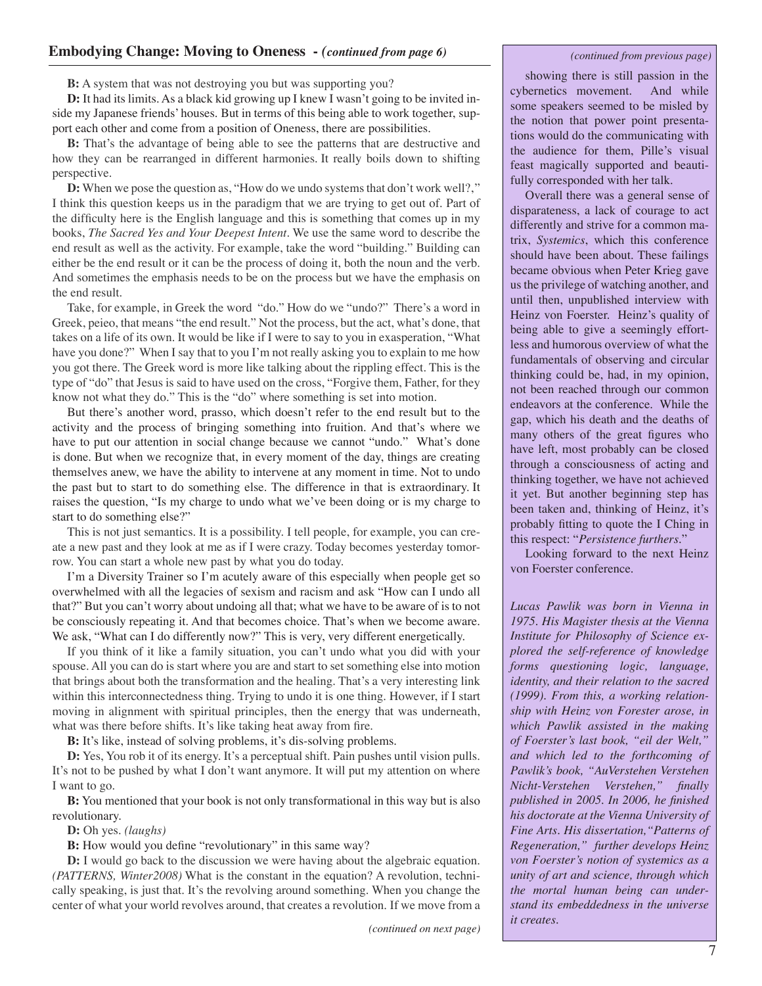## **Embodying Change: Moving to Oneness** - *(continued from page 6) (continued from previous page)*

**B:** A system that was not destroying you but was supporting you?

**D:** It had its limits. As a black kid growing up I knew I wasn't going to be invited inside my Japanese friends' houses. But in terms of this being able to work together, support each other and come from a position of Oneness, there are possibilities.

**B:** That's the advantage of being able to see the patterns that are destructive and how they can be rearranged in different harmonies. It really boils down to shifting perspective.

**D:** When we pose the question as, "How do we undo systems that don't work well?," I think this question keeps us in the paradigm that we are trying to get out of. Part of the difficulty here is the English language and this is something that comes up in my books, *The Sacred Yes and Your Deepest Intent*. We use the same word to describe the end result as well as the activity. For example, take the word "building." Building can either be the end result or it can be the process of doing it, both the noun and the verb. And sometimes the emphasis needs to be on the process but we have the emphasis on the end result.

Take, for example, in Greek the word "do." How do we "undo?" There's a word in Greek, peieo, that means "the end result." Not the process, but the act, what's done, that takes on a life of its own. It would be like if I were to say to you in exasperation, "What have you done?" When I say that to you I'm not really asking you to explain to me how you got there. The Greek word is more like talking about the rippling effect. This is the type of "do" that Jesus is said to have used on the cross, "Forgive them, Father, for they know not what they do." This is the "do" where something is set into motion.

But there's another word, prasso, which doesn't refer to the end result but to the activity and the process of bringing something into fruition. And that's where we have to put our attention in social change because we cannot "undo." What's done is done. But when we recognize that, in every moment of the day, things are creating themselves anew, we have the ability to intervene at any moment in time. Not to undo the past but to start to do something else. The difference in that is extraordinary. It raises the question, "Is my charge to undo what we've been doing or is my charge to start to do something else?"

This is not just semantics. It is a possibility. I tell people, for example, you can create a new past and they look at me as if I were crazy. Today becomes yesterday tomorrow. You can start a whole new past by what you do today.

I'm a Diversity Trainer so I'm acutely aware of this especially when people get so overwhelmed with all the legacies of sexism and racism and ask "How can I undo all that?" But you can't worry about undoing all that; what we have to be aware of is to not be consciously repeating it. And that becomes choice. That's when we become aware. We ask, "What can I do differently now?" This is very, very different energetically.

If you think of it like a family situation, you can't undo what you did with your spouse. All you can do is start where you are and start to set something else into motion that brings about both the transformation and the healing. That's a very interesting link within this interconnectedness thing. Trying to undo it is one thing. However, if I start moving in alignment with spiritual principles, then the energy that was underneath, what was there before shifts. It's like taking heat away from fire.

**B:** It's like, instead of solving problems, it's dis-solving problems.

**D:** Yes, You rob it of its energy. It's a perceptual shift. Pain pushes until vision pulls. It's not to be pushed by what I don't want anymore. It will put my attention on where I want to go.

**B:** You mentioned that your book is not only transformational in this way but is also revolutionary.

**D:** Oh yes. *(laughs)*

**B:** How would you define "revolutionary" in this same way?

**D:** I would go back to the discussion we were having about the algebraic equation. *(PATTERNS, Winter2008)* What is the constant in the equation? A revolution, technically speaking, is just that. It's the revolving around something. When you change the center of what your world revolves around, that creates a revolution. If we move from a

showing there is still passion in the cybernetics movement. And while some speakers seemed to be misled by the notion that power point presentations would do the communicating with the audience for them, Pille's visual feast magically supported and beautifully corresponded with her talk.

Overall there was a general sense of disparateness, a lack of courage to act differently and strive for a common matrix, *Systemics*, which this conference should have been about. These failings became obvious when Peter Krieg gave us the privilege of watching another, and until then, unpublished interview with Heinz von Foerster. Heinz's quality of being able to give a seemingly effortless and humorous overview of what the fundamentals of observing and circular thinking could be, had, in my opinion, not been reached through our common endeavors at the conference. While the gap, which his death and the deaths of many others of the great figures who have left, most probably can be closed through a consciousness of acting and thinking together, we have not achieved it yet. But another beginning step has been taken and, thinking of Heinz, it's probably fitting to quote the I Ching in this respect: "*Persistence furthers*."

Looking forward to the next Heinz von Foerster conference.

*Lucas Pawlik was born in Vienna in 1975. His Magister thesis at the Vienna Institute for Philosophy of Science explored the self-reference of knowledge forms questioning logic, language, identity, and their relation to the sacred (1999). From this, a working relationship with Heinz von Forester arose, in which Pawlik assisted in the making of Foerster's last book, "eil der Welt," and which led to the forthcoming of Pawlik's book, "AuVerstehen Verstehen Nicht-Verstehen Verstehen," finally published in 2005. In 2006, he finished his doctorate at the Vienna University of Fine Arts. His dissertation,"Patterns of Regeneration," further develops Heinz von Foerster's notion of systemics as a unity of art and science, through which the mortal human being can understand its embeddedness in the universe it creates.*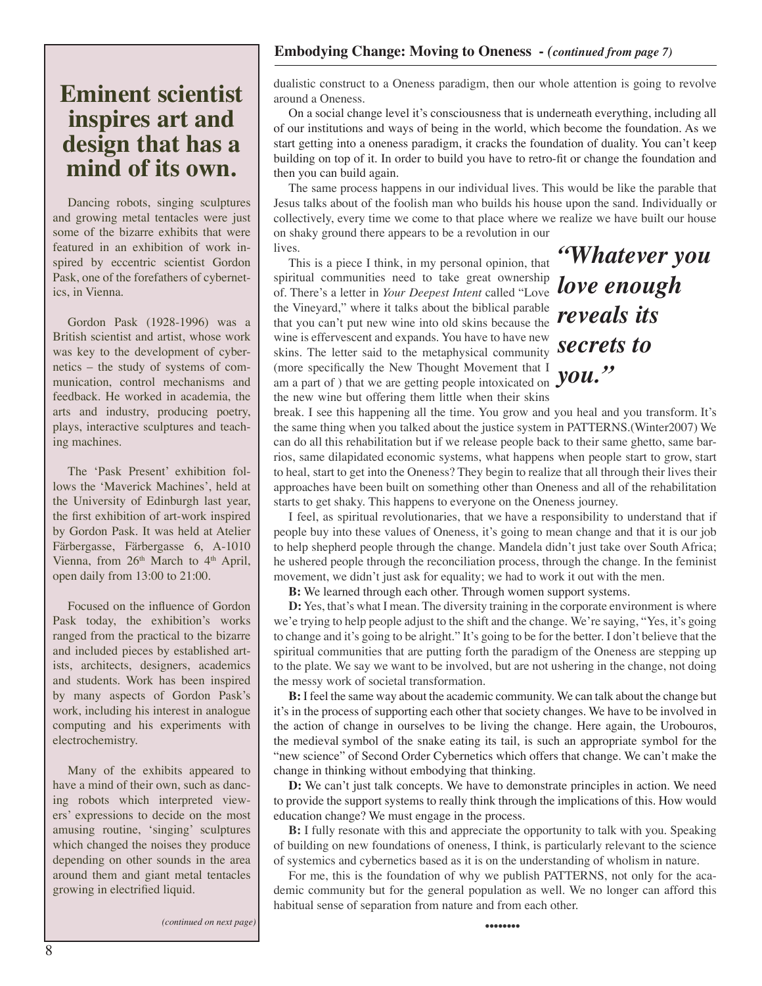## **Eminent scientist inspires art and design that has a mind of its own.**

Dancing robots, singing sculptures and growing metal tentacles were just some of the bizarre exhibits that were featured in an exhibition of work inspired by eccentric scientist Gordon Pask, one of the forefathers of cybernetics, in Vienna.

Gordon Pask (1928-1996) was a British scientist and artist, whose work was key to the development of cybernetics – the study of systems of communication, control mechanisms and feedback. He worked in academia, the arts and industry, producing poetry, plays, interactive sculptures and teaching machines.

The 'Pask Present' exhibition follows the 'Maverick Machines', held at the University of Edinburgh last year, the first exhibition of art-work inspired by Gordon Pask. It was held at Atelier Färbergasse, Färbergasse 6, A-1010 Vienna, from  $26<sup>th</sup>$  March to  $4<sup>th</sup>$  April, open daily from 13:00 to 21:00.

Focused on the influence of Gordon Pask today, the exhibition's works ranged from the practical to the bizarre and included pieces by established artists, architects, designers, academics and students. Work has been inspired by many aspects of Gordon Pask's work, including his interest in analogue computing and his experiments with electrochemistry.

Many of the exhibits appeared to have a mind of their own, such as dancing robots which interpreted viewers' expressions to decide on the most amusing routine, 'singing' sculptures which changed the noises they produce depending on other sounds in the area around them and giant metal tentacles growing in electrified liquid.

*(continued on next page)*

## **Embodying Change: Moving to Oneness -** *(continued from page 7)*

dualistic construct to a Oneness paradigm, then our whole attention is going to revolve around a Oneness.

On a social change level it's consciousness that is underneath everything, including all of our institutions and ways of being in the world, which become the foundation. As we start getting into a oneness paradigm, it cracks the foundation of duality. You can't keep building on top of it. In order to build you have to retro-fit or change the foundation and then you can build again.

The same process happens in our individual lives. This would be like the parable that Jesus talks about of the foolish man who builds his house upon the sand. Individually or collectively, every time we come to that place where we realize we have built our house on shaky ground there appears to be a revolution in our lives.

This is a piece I think, in my personal opinion, that spiritual communities need to take great ownership of. There's a letter in *Your Deepest Intent* called "Love the Vineyard," where it talks about the biblical parable that you can't put new wine into old skins because the wine is effervescent and expands. You have to have new skins. The letter said to the metaphysical community *secrets to*  (more specifically the New Thought Movement that I (more specifically the New Thought Movement that  $\frac{1}{2}$   $y_0 u$ ." the new wine but offering them little when their skins

*"Whatever you love enough reveals its*

break. I see this happening all the time. You grow and you heal and you transform. It's the same thing when you talked about the justice system in PATTERNS.(Winter2007) We can do all this rehabilitation but if we release people back to their same ghetto, same barrios, same dilapidated economic systems, what happens when people start to grow, start to heal, start to get into the Oneness? They begin to realize that all through their lives their approaches have been built on something other than Oneness and all of the rehabilitation starts to get shaky. This happens to everyone on the Oneness journey.

I feel, as spiritual revolutionaries, that we have a responsibility to understand that if people buy into these values of Oneness, it's going to mean change and that it is our job to help shepherd people through the change. Mandela didn't just take over South Africa; he ushered people through the reconciliation process, through the change. In the feminist movement, we didn't just ask for equality; we had to work it out with the men.

**B:** We learned through each other. Through women support systems.

**D:** Yes, that's what I mean. The diversity training in the corporate environment is where we'e trying to help people adjust to the shift and the change. We're saying, "Yes, it's going to change and it's going to be alright." It's going to be for the better. I don't believe that the spiritual communities that are putting forth the paradigm of the Oneness are stepping up to the plate. We say we want to be involved, but are not ushering in the change, not doing the messy work of societal transformation.

**B:** I feel the same way about the academic community. We can talk about the change but it's in the process of supporting each other that society changes. We have to be involved in the action of change in ourselves to be living the change. Here again, the Urobouros, the medieval symbol of the snake eating its tail, is such an appropriate symbol for the "new science" of Second Order Cybernetics which offers that change. We can't make the change in thinking without embodying that thinking.

**D:** We can't just talk concepts. We have to demonstrate principles in action. We need to provide the support systems to really think through the implications of this. How would education change? We must engage in the process.

**B:** I fully resonate with this and appreciate the opportunity to talk with you. Speaking of building on new foundations of oneness, I think, is particularly relevant to the science of systemics and cybernetics based as it is on the understanding of wholism in nature.

For me, this is the foundation of why we publish PATTERNS, not only for the academic community but for the general population as well. We no longer can afford this habitual sense of separation from nature and from each other.

••••••••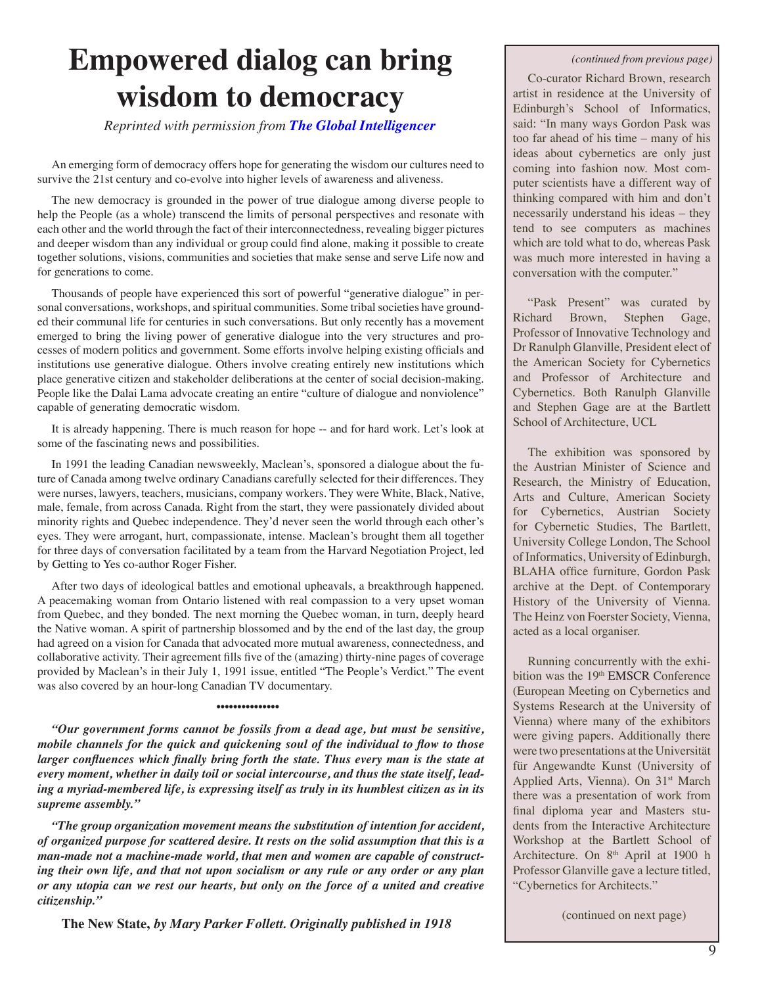# Empowered dialog can bring *(continued from previous page)* **wisdom to democracy**

 *Reprinted with permission from The Global Intelligencer*

An emerging form of democracy offers hope for generating the wisdom our cultures need to survive the 21st century and co-evolve into higher levels of awareness and aliveness.

The new democracy is grounded in the power of true dialogue among diverse people to help the People (as a whole) transcend the limits of personal perspectives and resonate with each other and the world through the fact of their interconnectedness, revealing bigger pictures and deeper wisdom than any individual or group could find alone, making it possible to create together solutions, visions, communities and societies that make sense and serve Life now and for generations to come.

Thousands of people have experienced this sort of powerful "generative dialogue" in personal conversations, workshops, and spiritual communities. Some tribal societies have grounded their communal life for centuries in such conversations. But only recently has a movement emerged to bring the living power of generative dialogue into the very structures and processes of modern politics and government. Some efforts involve helping existing officials and institutions use generative dialogue. Others involve creating entirely new institutions which place generative citizen and stakeholder deliberations at the center of social decision-making. People like the Dalai Lama advocate creating an entire "culture of dialogue and nonviolence" capable of generating democratic wisdom.

It is already happening. There is much reason for hope -- and for hard work. Let's look at some of the fascinating news and possibilities.

In 1991 the leading Canadian newsweekly, Maclean's, sponsored a dialogue about the future of Canada among twelve ordinary Canadians carefully selected for their differences. They were nurses, lawyers, teachers, musicians, company workers. They were White, Black, Native, male, female, from across Canada. Right from the start, they were passionately divided about minority rights and Quebec independence. They'd never seen the world through each other's eyes. They were arrogant, hurt, compassionate, intense. Maclean's brought them all together for three days of conversation facilitated by a team from the Harvard Negotiation Project, led by Getting to Yes co-author Roger Fisher.

After two days of ideological battles and emotional upheavals, a breakthrough happened. A peacemaking woman from Ontario listened with real compassion to a very upset woman from Quebec, and they bonded. The next morning the Quebec woman, in turn, deeply heard the Native woman. A spirit of partnership blossomed and by the end of the last day, the group had agreed on a vision for Canada that advocated more mutual awareness, connectedness, and collaborative activity. Their agreement fills five of the (amazing) thirty-nine pages of coverage provided by Maclean's in their July 1, 1991 issue, entitled "The People's Verdict." The event was also covered by an hour-long Canadian TV documentary.

### •••••••••••••••

*"Our government forms cannot be fossils from a dead age, but must be sensitive, mobile channels for the quick and quickening soul of the individual to flow to those larger confluences which finally bring forth the state. Thus every man is the state at every moment, whether in daily toil or social intercourse, and thus the state itself, leading a myriad-membered life, is expressing itself as truly in its humblest citizen as in its supreme assembly."*

*"The group organization movement means the substitution of intention for accident, of organized purpose for scattered desire. It rests on the solid assumption that this is a man-made not a machine-made world, that men and women are capable of constructing their own life, and that not upon socialism or any rule or any order or any plan or any utopia can we rest our hearts, but only on the force of a united and creative citizenship."*

**The New State,** *by Mary Parker Follett. Originally published in 1918*

Co-curator Richard Brown, research artist in residence at the University of Edinburgh's School of Informatics, said: "In many ways Gordon Pask was too far ahead of his time – many of his ideas about cybernetics are only just coming into fashion now. Most computer scientists have a different way of thinking compared with him and don't necessarily understand his ideas – they tend to see computers as machines which are told what to do, whereas Pask was much more interested in having a conversation with the computer."

"Pask Present" was curated by Richard Brown, Stephen Gage, Professor of Innovative Technology and Dr Ranulph Glanville, President elect of the American Society for Cybernetics and Professor of Architecture and Cybernetics. Both Ranulph Glanville and Stephen Gage are at the Bartlett School of Architecture, UCL

The exhibition was sponsored by the Austrian Minister of Science and Research, the Ministry of Education, Arts and Culture, American Society for Cybernetics, Austrian Society for Cybernetic Studies, The Bartlett, University College London, The School of Informatics, University of Edinburgh, BLAHA office furniture, Gordon Pask archive at the Dept. of Contemporary History of the University of Vienna. The Heinz von Foerster Society, Vienna, acted as a local organiser.

Running concurrently with the exhibition was the 19th EMSCR Conference (European Meeting on Cybernetics and Systems Research at the University of Vienna) where many of the exhibitors were giving papers. Additionally there were two presentations at the Universität für Angewandte Kunst (University of Applied Arts, Vienna). On 31<sup>st</sup> March there was a presentation of work from final diploma year and Masters students from the Interactive Architecture Workshop at the Bartlett School of Architecture. On 8th April at 1900 h Professor Glanville gave a lecture titled, "Cybernetics for Architects."

(continued on next page)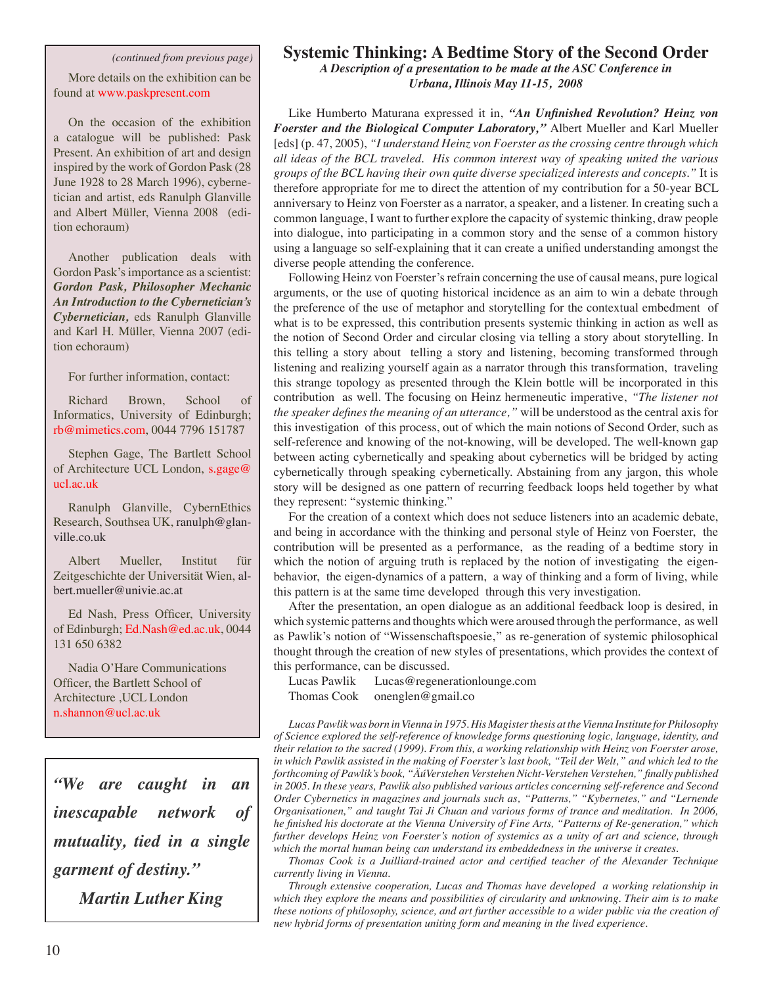### *(continued from previous page)*

More details on the exhibition can be found at www.paskpresent.com

On the occasion of the exhibition a catalogue will be published: Pask Present. An exhibition of art and design inspired by the work of Gordon Pask (28 June 1928 to 28 March 1996), cybernetician and artist, eds Ranulph Glanville and Albert Müller, Vienna 2008 (edition echoraum)

Another publication deals with Gordon Pask's importance as a scientist: *Gordon Pask, Philosopher Mechanic An Introduction to the Cybernetician's Cybernetician,* eds Ranulph Glanville and Karl H. Müller, Vienna 2007 (edition echoraum)

For further information, contact:

Richard Brown, School of Informatics, University of Edinburgh; rb@mimetics.com, 0044 7796 151787

Stephen Gage, The Bartlett School of Architecture UCL London, s.gage@ ucl.ac.uk

Ranulph Glanville, CybernEthics Research, Southsea UK, ranulph@glanville.co.uk

Albert Mueller, Institut für Zeitgeschichte der Universität Wien, albert.mueller@univie.ac.at

Ed Nash, Press Officer, University of Edinburgh; Ed.Nash@ed.ac.uk, 0044 131 650 6382

Nadia O'Hare Communications Officer, the Bartlett School of Architecture ,UCL London n.shannon@ucl.ac.uk

*"We are caught in an inescapable network of mutuality, tied in a single garment of destiny." Martin Luther King*

## **Systemic Thinking: A Bedtime Story of the Second Order**

*A Description of a presentation to be made at the ASC Conference in Urbana, Illinois May 11-15, 2008* 

Like Humberto Maturana expressed it in, "An Unfinished Revolution? Heinz von *Foerster and the Biological Computer Laboratory'"* Albert Mueller and Karl Mueller [eds] (p. 47, 2005), *"I understand Heinz von Foerster as the crossing centre through which all ideas of the BCL traveled. His common interest way of speaking united the various groups of the BCL having their own quite diverse specialized interests and concepts."* It is therefore appropriate for me to direct the attention of my contribution for a 50-year BCL anniversary to Heinz von Foerster as a narrator, a speaker, and a listener. In creating such a common language, I want to further explore the capacity of systemic thinking, draw people into dialogue, into participating in a common story and the sense of a common history using a language so self-explaining that it can create a unified understanding amongst the diverse people attending the conference.

Following Heinz von Foerster's refrain concerning the use of causal means, pure logical arguments, or the use of quoting historical incidence as an aim to win a debate through the preference of the use of metaphor and storytelling for the contextual embedment of what is to be expressed, this contribution presents systemic thinking in action as well as the notion of Second Order and circular closing via telling a story about storytelling. In this telling a story about telling a story and listening, becoming transformed through listening and realizing yourself again as a narrator through this transformation, traveling this strange topology as presented through the Klein bottle will be incorporated in this contribution as well. The focusing on Heinz hermeneutic imperative, "The listener not *the speaker defines the meaning of an utterance'"* will be understood as the central axis for this investigation of this process, out of which the main notions of Second Order, such as self-reference and knowing of the not-knowing, will be developed. The well-known gap between acting cybernetically and speaking about cybernetics will be bridged by acting cybernetically through speaking cybernetically. Abstaining from any jargon, this whole story will be designed as one pattern of recurring feedback loops held together by what they represent: "systemic thinking."

For the creation of a context which does not seduce listeners into an academic debate, and being in accordance with the thinking and personal style of Heinz von Foerster, the contribution will be presented as a performance, as the reading of a bedtime story in which the notion of arguing truth is replaced by the notion of investigating the eigenbehavior, the eigen-dynamics of a pattern, a way of thinking and a form of living, while this pattern is at the same time developed through this very investigation.

After the presentation, an open dialogue as an additional feedback loop is desired, in which systemic patterns and thoughts which were aroused through the performance, as well as Pawlik's notion of "Wissenschaftspoesie," as re-generation of systemic philosophical thought through the creation of new styles of presentations, which provides the context of this performance, can be discussed.

Lucas Pawlik Lucas@regenerationlounge.com Thomas Cook onenglen@gmail.co

*Lucas Pawlik was born in Vienna in 1975. His Magister thesis at the Vienna Institute for Philosophy of Science explored the self-reference of knowledge forms questioning logic, language, identity, and their relation to the sacred (1999). From this, a working relationship with Heinz von Foerster arose,*  in which Pawlik assisted in the making of Foerster's last book, "Teil der Welt," and which led to the *forthcoming of Pawlik's book, "ÄúVerstehen Verstehen Nicht-Verstehen Verstehen," finally published in 2005. In these years, Pawlik also published various articles concerning self-reference and Second Order Cybernetics in magazines and journals such as' "Patterns," "Kybernetes," and "Lernende Organisationen," and taught Tai Ji Chuan and various forms of trance and meditation. In 2006, he finished his doctorate at the Vienna University of Fine Arts, "Patterns of Re-generation," which further develops Heinz von Foerster's notion of systemics as a unity of art and science, through which the mortal human being can understand its embeddedness in the universe it creates.*

*Thomas Cook is a Juilliard-trained actor and certified teacher of the Alexander Technique currently living in Vienna.* 

*Through extensive cooperation, Lucas and Thomas have developed a working relationship in which they explore the means and possibilities of circularity and unknowing. Their aim is to make these notions of philosophy, science, and art further accessible to a wider public via the creation of new hybrid forms of presentation uniting form and meaning in the lived experience.*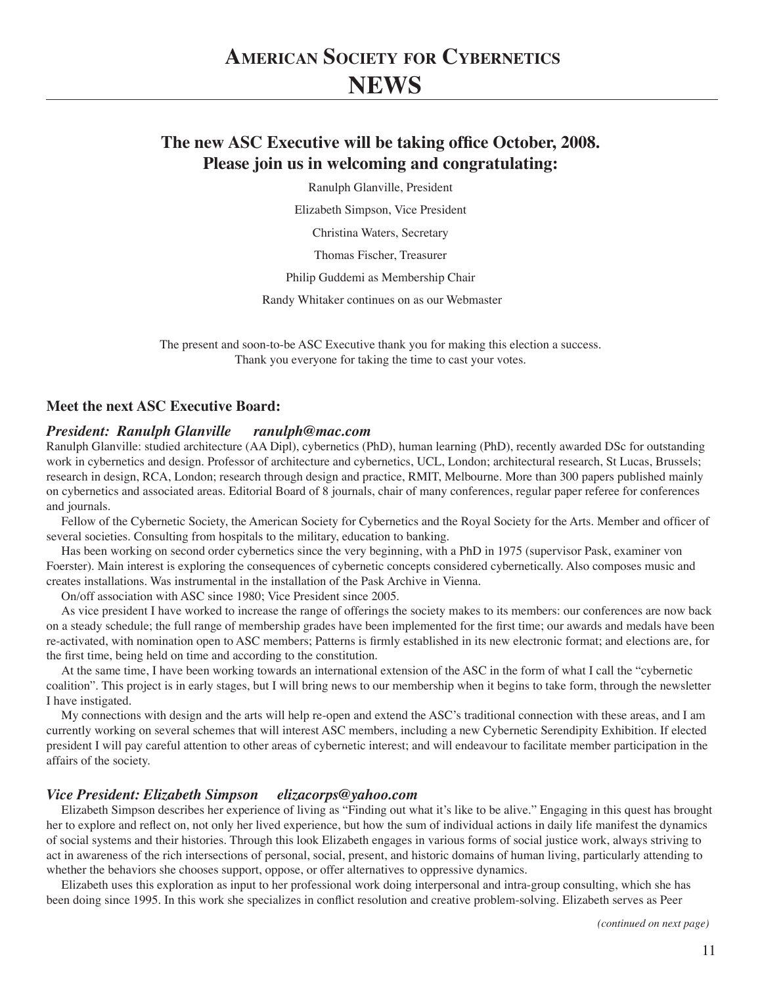## **The new ASC Executive will be taking office October, 2008. Please join us in welcoming and congratulating:**

Ranulph Glanville, President

Elizabeth Simpson, Vice President

Christina Waters, Secretary

Thomas Fischer, Treasurer

Philip Guddemi as Membership Chair

Randy Whitaker continues on as our Webmaster

The present and soon-to-be ASC Executive thank you for making this election a success. Thank you everyone for taking the time to cast your votes.

## **Meet the next ASC Executive Board:**

### *President: Ranulph Glanville ranulph@mac.com*

Ranulph Glanville: studied architecture (AA Dipl), cybernetics (PhD), human learning (PhD), recently awarded DSc for outstanding work in cybernetics and design. Professor of architecture and cybernetics, UCL, London; architectural research, St Lucas, Brussels; research in design, RCA, London; research through design and practice, RMIT, Melbourne. More than 300 papers published mainly on cybernetics and associated areas. Editorial Board of 8 journals, chair of many conferences, regular paper referee for conferences and journals.

Fellow of the Cybernetic Society, the American Society for Cybernetics and the Royal Society for the Arts. Member and officer of several societies. Consulting from hospitals to the military, education to banking.

Has been working on second order cybernetics since the very beginning, with a PhD in 1975 (supervisor Pask, examiner von Foerster). Main interest is exploring the consequences of cybernetic concepts considered cybernetically. Also composes music and creates installations. Was instrumental in the installation of the Pask Archive in Vienna.

On/off association with ASC since 1980; Vice President since 2005.

As vice president I have worked to increase the range of offerings the society makes to its members: our conferences are now back on a steady schedule; the full range of membership grades have been implemented for the first time; our awards and medals have been re-activated, with nomination open to ASC members; Patterns is firmly established in its new electronic format; and elections are, for the first time, being held on time and according to the constitution.

At the same time, I have been working towards an international extension of the ASC in the form of what I call the "cybernetic coalition". This project is in early stages, but I will bring news to our membership when it begins to take form, through the newsletter I have instigated.

My connections with design and the arts will help re-open and extend the ASC's traditional connection with these areas, and I am currently working on several schemes that will interest ASC members, including a new Cybernetic Serendipity Exhibition. If elected president I will pay careful attention to other areas of cybernetic interest; and will endeavour to facilitate member participation in the affairs of the society.

## *Vice President: Elizabeth Simpson elizacorps@yahoo.com*

Elizabeth Simpson describes her experience of living as "Finding out what it's like to be alive." Engaging in this quest has brought her to explore and reflect on, not only her lived experience, but how the sum of individual actions in daily life manifest the dynamics of social systems and their histories. Through this look Elizabeth engages in various forms of social justice work, always striving to act in awareness of the rich intersections of personal, social, present, and historic domains of human living, particularly attending to whether the behaviors she chooses support, oppose, or offer alternatives to oppressive dynamics.

Elizabeth uses this exploration as input to her professional work doing interpersonal and intra-group consulting, which she has been doing since 1995. In this work she specializes in conflict resolution and creative problem-solving. Elizabeth serves as Peer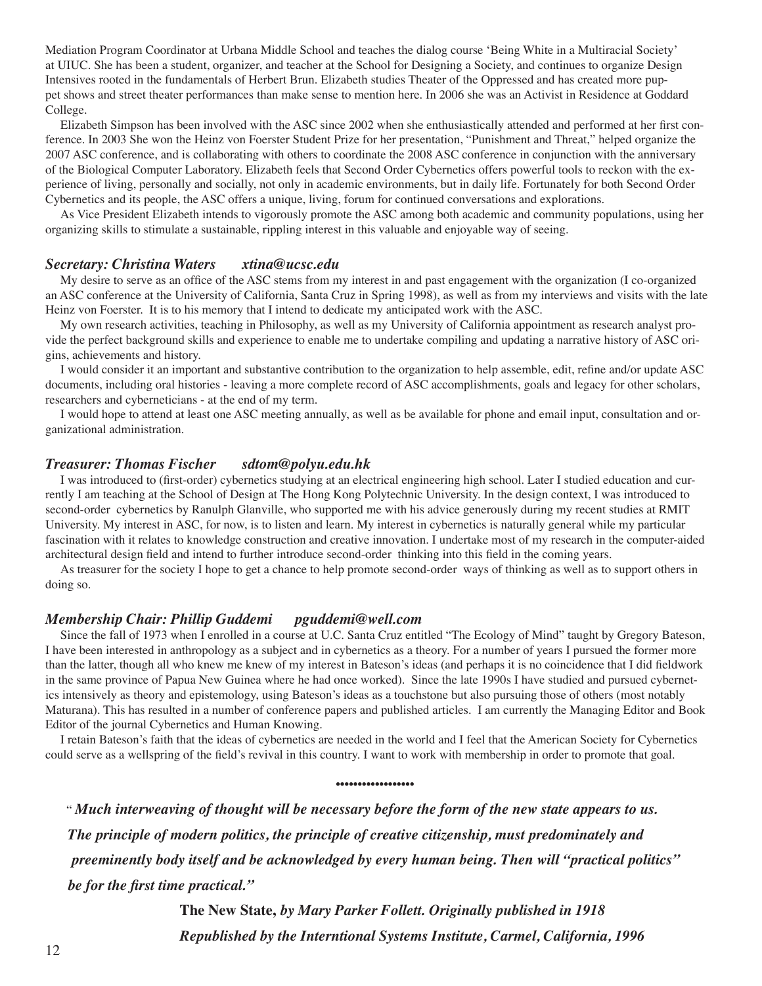Mediation Program Coordinator at Urbana Middle School and teaches the dialog course 'Being White in a Multiracial Society' at UIUC. She has been a student, organizer, and teacher at the School for Designing a Society, and continues to organize Design Intensives rooted in the fundamentals of Herbert Brun. Elizabeth studies Theater of the Oppressed and has created more puppet shows and street theater performances than make sense to mention here. In 2006 she was an Activist in Residence at Goddard College.

Elizabeth Simpson has been involved with the ASC since 2002 when she enthusiastically attended and performed at her first conference. In 2003 She won the Heinz von Foerster Student Prize for her presentation, "Punishment and Threat," helped organize the 2007 ASC conference, and is collaborating with others to coordinate the 2008 ASC conference in conjunction with the anniversary of the Biological Computer Laboratory. Elizabeth feels that Second Order Cybernetics offers powerful tools to reckon with the experience of living, personally and socially, not only in academic environments, but in daily life. Fortunately for both Second Order Cybernetics and its people, the ASC offers a unique, living, forum for continued conversations and explorations.

As Vice President Elizabeth intends to vigorously promote the ASC among both academic and community populations, using her organizing skills to stimulate a sustainable, rippling interest in this valuable and enjoyable way of seeing.

## *Secretary: Christina Waters xtina@ucsc.edu*

My desire to serve as an office of the ASC stems from my interest in and past engagement with the organization (I co-organized an ASC conference at the University of California, Santa Cruz in Spring 1998), as well as from my interviews and visits with the late Heinz von Foerster. It is to his memory that I intend to dedicate my anticipated work with the ASC.

My own research activities, teaching in Philosophy, as well as my University of California appointment as research analyst provide the perfect background skills and experience to enable me to undertake compiling and updating a narrative history of ASC origins, achievements and history.

I would consider it an important and substantive contribution to the organization to help assemble, edit, refine and/or update ASC documents, including oral histories - leaving a more complete record of ASC accomplishments, goals and legacy for other scholars, researchers and cyberneticians - at the end of my term.

I would hope to attend at least one ASC meeting annually, as well as be available for phone and email input, consultation and organizational administration.

## *Treasurer: Thomas Fischer sdtom@polyu.edu.hk*

I was introduced to (first-order) cybernetics studying at an electrical engineering high school. Later I studied education and currently I am teaching at the School of Design at The Hong Kong Polytechnic University. In the design context, I was introduced to second-order cybernetics by Ranulph Glanville, who supported me with his advice generously during my recent studies at RMIT University. My interest in ASC, for now, is to listen and learn. My interest in cybernetics is naturally general while my particular fascination with it relates to knowledge construction and creative innovation. I undertake most of my research in the computer-aided architectural design field and intend to further introduce second-order thinking into this field in the coming years.

As treasurer for the society I hope to get a chance to help promote second-order ways of thinking as well as to support others in doing so.

### *Membership Chair: Phillip Guddemi pguddemi@well.com*

Since the fall of 1973 when I enrolled in a course at U.C. Santa Cruz entitled "The Ecology of Mind" taught by Gregory Bateson, I have been interested in anthropology as a subject and in cybernetics as a theory. For a number of years I pursued the former more than the latter, though all who knew me knew of my interest in Bateson's ideas (and perhaps it is no coincidence that I did fieldwork in the same province of Papua New Guinea where he had once worked). Since the late 1990s I have studied and pursued cybernetics intensively as theory and epistemology, using Bateson's ideas as a touchstone but also pursuing those of others (most notably Maturana). This has resulted in a number of conference papers and published articles. I am currently the Managing Editor and Book Editor of the journal Cybernetics and Human Knowing.

I retain Bateson's faith that the ideas of cybernetics are needed in the world and I feel that the American Society for Cybernetics could serve as a wellspring of the field's revival in this country. I want to work with membership in order to promote that goal.

••••••••••••••••••

 " *Much interweaving of thought will be necessary before the form of the new state appears to us. The principle of modern politics, the principle of creative citizenship, must predominately and preeminently body itself and be acknowledged by every human being. Then will "practical politics" be for the first time practical."*

> **The New State,** *by Mary Parker Follett. Originally published in 1918 Republished by the Interntional Systems Institute, Carmel, California, 1996*